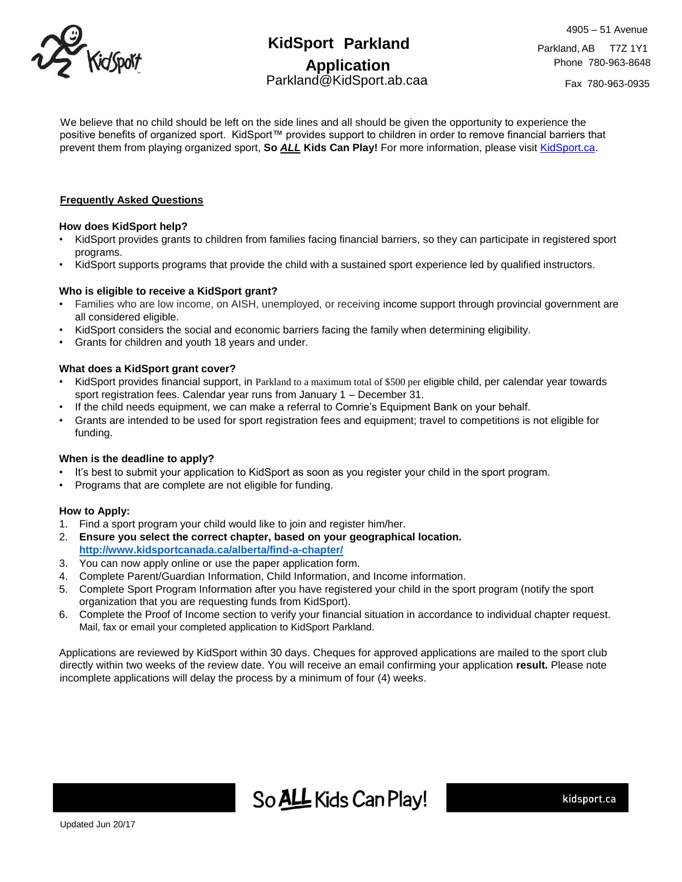

# **KidSport Parkland Application** Parkland@KidSport.ab.caa

Fax 780-963-0935

We believe that no child should be left on the side lines and all should be given the opportunity to experience the positive benefits of organized sport. KidSport™ provides support to children in order to remove financial barriers that prevent them from playing organized sport, **So** *ALL* **Kids Can Play!** For more information, please visit [KidSport.ca.](http://www.kidsport.ca/)

## **Frequently Asked Questions**

## **How does KidSport help?**

- KidSport provides grants to children from families facing financial barriers, so they can participate in registered sport programs.
- KidSport supports programs that provide the child with a sustained sport experience led by qualified instructors.

#### **Who is eligible to receive a KidSport grant?**

- Families who are low income, on AISH, unemployed, or receiving income support through provincial government are all considered eligible.
- KidSport considers the social and economic barriers facing the family when determining eligibility.
- Grants for children and youth 18 years and under.

# **What does a KidSport grant cover?**

- KidSport provides financial support, in Parkland to a maximum total of \$500 per eligible child, per calendar year towards sport registration fees. Calendar year runs from January 1 – December 31.
- If the child needs equipment, we can make a referral to Comrie's Equipment Bank on your behalf.
- Grants are intended to be used for sport registration fees and equipment; travel to competitions is not eligible for funding.

#### **When is the deadline to apply?**

- It's best to submit your application to KidSport as soon as you register your child in the sport program.
- Programs that are complete are not eligible for funding.

#### **How to Apply:**

- 1. Find a sport program your child would like to join and register him/her.
- 2. **Ensure you select the correct chapter, based on your geographical location. <http://www.kidsportcanada.ca/alberta/find-a-chapter/>**
- 3. You can now apply online or use the paper application form.
- 4. Complete Parent/Guardian Information, Child Information, and Income information.
- 5. Complete Sport Program Information after you have registered your child in the sport program (notify the sport organization that you are requesting funds from KidSport).
- 6. Complete the Proof of Income section to verify your financial situation in accordance to individual chapter request. Mail, fax or email your completed application to KidSport Parkland.

Applications are reviewed by KidSport within 30 days. Cheques for approved applications are mailed to the sport club directly within two weeks of the review date. You will receive an email confirming your application **result.** Please note incomplete applications will delay the process by a minimum of four (4) weeks.